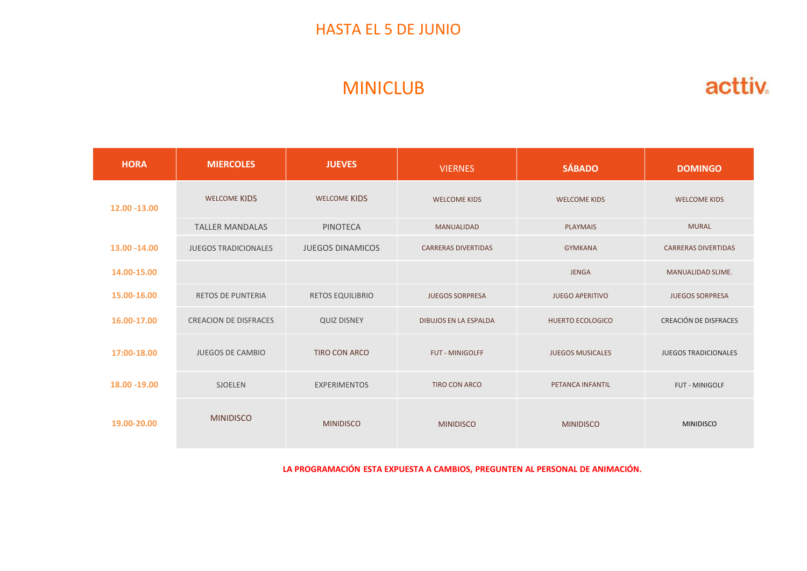#### HASTA EL 5 DE JUNIO

## MINICLUB

| <b>HASTA EL 5 DE JUNIO</b> |                         |                              |                         |                            |  |  |  |
|----------------------------|-------------------------|------------------------------|-------------------------|----------------------------|--|--|--|
| <b>MINICLUB</b>            |                         |                              |                         |                            |  |  |  |
| <b>MIERCOLES</b>           | <b>JUEVES</b>           | <b>VIERNES</b>               | <b>SÁBADO</b>           | <b>DOMINGO</b>             |  |  |  |
| WELCOME KIDS               | WELCOME KIDS            | <b>WELCOME KIDS</b>          | <b>WELCOME KIDS</b>     | <b>WELCOME KIDS</b>        |  |  |  |
| <b>TALLER MANDALAS</b>     | PINOTECA                | MANUALIDAD                   | PLAYMAIS                | <b>MURAL</b>               |  |  |  |
| JUEGOS TRADICIONALES       | <b>JUEGOS DINAMICOS</b> | <b>CARRERAS DIVERTIDAS</b>   | <b>GYMKANA</b>          | <b>CARRERAS DIVERTIDAS</b> |  |  |  |
|                            |                         |                              | JENGA                   | MANUALIDAD SLIME.          |  |  |  |
| RETOS DE PUNTERIA          | RETOS EQUILIBRIO        | <b>JUEGOS SORPRESA</b>       | <b>JUEGO APERITIVO</b>  | <b>JUEGOS SORPRESA</b>     |  |  |  |
| CREACION DE DISFRACES      | <b>QUIZ DISNEY</b>      | <b>DIBUJOS EN LA ESPALDA</b> | HUERTO ECOLOGICO        | CREACIÓN DE DISFRACES      |  |  |  |
| JUEGOS DE CAMBIO           | TIRO CON ARCO           | FUT - MINIGOLFF              | <b>JUEGOS MUSICALES</b> | JUEGOS TRADICIONALES       |  |  |  |
| SJOELEN                    | EXPERIMENTOS            | TIRO CON ARCO                | PETANCA INFANTIL        | FUT - MINIGOLF             |  |  |  |
|                            |                         |                              |                         |                            |  |  |  |
|                            |                         |                              |                         |                            |  |  |  |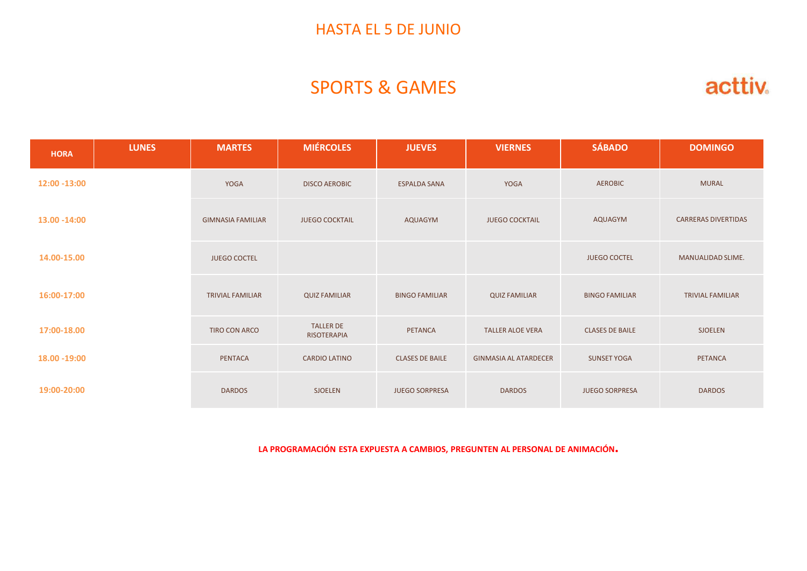#### HASTA EL 5 DE JUNIO

## SPORTS & GAMES

|                            |                        |                              | <b>HASTA EL 5 DE JUNIO</b> |                                 |                          |              |               |  |
|----------------------------|------------------------|------------------------------|----------------------------|---------------------------------|--------------------------|--------------|---------------|--|
| acttiv.                    |                        | <b>SPORTS &amp; GAMES</b>    |                            |                                 |                          |              |               |  |
| <b>DOMINGO</b>             | <b>SÁBADO</b>          | <b>VIERNES</b>               | <b>JUEVES</b>              | <b>MIÉRCOLES</b>                | <b>MARTES</b>            | <b>LUNES</b> | <b>HORA</b>   |  |
| <b>MURAL</b>               | <b>AEROBIC</b>         | YOGA                         | <b>ESPALDA SANA</b>        | <b>DISCO AEROBIC</b>            | YOGA                     |              | 12:00 - 13:00 |  |
| <b>CARRERAS DIVERTIDAS</b> | AQUAGYM                | <b>JUEGO COCKTAIL</b>        | AQUAGYM                    | <b>JUEGO COCKTAIL</b>           | <b>GIMNASIA FAMILIAR</b> |              | 13.00 - 14:00 |  |
| MANUALIDAD SLIME.          | <b>JUEGO COCTEL</b>    |                              |                            |                                 | <b>JUEGO COCTEL</b>      |              | 14.00-15.00   |  |
| <b>TRIVIAL FAMILIAR</b>    | <b>BINGO FAMILIAR</b>  | <b>QUIZ FAMILIAR</b>         | <b>BINGO FAMILIAR</b>      | <b>QUIZ FAMILIAR</b>            | <b>TRIVIAL FAMILIAR</b>  |              | 16:00-17:00   |  |
| <b>SJOELEN</b>             | <b>CLASES DE BAILE</b> | <b>TALLER ALOE VERA</b>      | PETANCA                    | <b>TALLER DE</b><br>RISOTERAPIA | TIRO CON ARCO            |              | 17:00-18.00   |  |
| PETANCA                    | <b>SUNSET YOGA</b>     | <b>GINMASIA AL ATARDECER</b> | <b>CLASES DE BAILE</b>     | <b>CARDIO LATINO</b>            | PENTACA                  |              | 18.00 - 19:00 |  |
| <b>DARDOS</b>              | JUEGO SORPRESA         | <b>DARDOS</b>                | <b>JUEGO SORPRESA</b>      | SJOELEN                         | <b>DARDOS</b>            |              | 19:00-20:00   |  |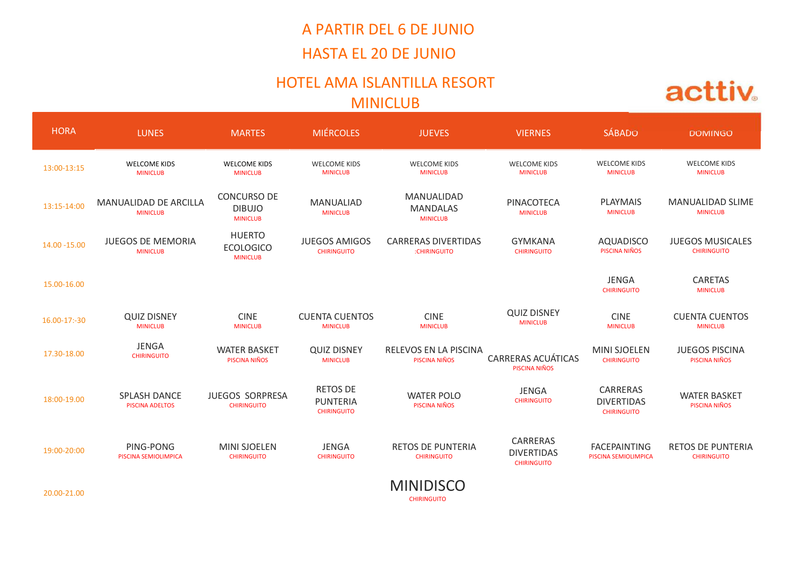## A PARTIR DEL 6 DE JUNIO HASTA EL 20 DE JUNIO

#### HOTEL AMA ISLANTILLA RESORT MINICLUB

|               |                                                |                                                      |                                                   | A PARTIR DEL 6 DE JUNIO<br><b>HASTA EL 20 DE JUNIO</b> |                                                     |                                                     |                                                |  |
|---------------|------------------------------------------------|------------------------------------------------------|---------------------------------------------------|--------------------------------------------------------|-----------------------------------------------------|-----------------------------------------------------|------------------------------------------------|--|
|               | HOTEL AMA ISLANTILLA RESORT<br><b>MINICLUB</b> |                                                      |                                                   |                                                        |                                                     |                                                     |                                                |  |
| <b>HORA</b>   | <b>LUNES</b>                                   | <b>MARTES</b>                                        | <b>MIÉRCOLES</b>                                  | <b>JUEVES</b>                                          | <b>VIERNES</b>                                      | SÁBADO                                              | <b>DOMINGO</b>                                 |  |
| 13:00-13:15   | WELCOME KIDS<br><b>MINICLUB</b>                | WELCOME KIDS<br><b>MINICLUB</b>                      | WELCOME KIDS<br><b>MINICLUB</b>                   | WELCOME KIDS<br><b>MINICLUB</b>                        | WELCOME KIDS<br><b>MINICLUB</b>                     | <b>WELCOME KIDS</b><br><b>MINICLUB</b>              | <b>WELCOME KIDS</b><br><b>MINICLUB</b>         |  |
| 13:15-14:00   | MANUALIDAD DE ARCILLA<br><b>MINICLUB</b>       | CONCURSO DE<br><b>DIBUJO</b><br><b>MINICLUB</b>      | MANUALIAD<br><b>MINICLUB</b>                      | MANUALIDAD<br>MANDALAS<br><b>MINICLUB</b>              | PINACOTECA<br><b>MINICLUB</b>                       | PLAYMAIS<br><b>MINICLUB</b>                         | MANUALIDAD SLIME<br><b>MINICLUB</b>            |  |
| 14.00 - 15.00 | <b>JUEGOS DE MEMORIA</b><br><b>MINICLUB</b>    | <b>HUERTO</b><br><b>ECOLOGICO</b><br><b>MINICLUB</b> | <b>JUEGOS AMIGOS</b><br><b>CHIRINGUITO</b>        | <b>CARRERAS DIVERTIDAS</b><br>:CHIRINGUITO             | <b>GYMKANA</b><br><b>CHIRINGUITO</b>                | <b>AQUADISCO</b><br>PISCINA NIÑOS                   | <b>JUEGOS MUSICALES</b><br><b>CHIRINGUITO</b>  |  |
| 15.00-16.00   |                                                |                                                      |                                                   |                                                        |                                                     | JENGA<br><b>CHIRINGUITO</b>                         | CARETAS<br><b>MINICLUB</b>                     |  |
| 16.00-17:-30  | <b>QUIZ DISNEY</b><br><b>MINICLUB</b>          | <b>CINE</b><br><b>MINICLUB</b>                       | <b>CUENTA CUENTOS</b><br><b>MINICLUB</b>          | <b>CINE</b><br><b>MINICLUB</b>                         | <b>QUIZ DISNEY</b><br><b>MINICLUB</b>               | <b>CINE</b><br><b>MINICLUB</b>                      | <b>CUENTA CUENTOS</b><br><b>MINICLUB</b>       |  |
| 17.30-18.00   | JENGA<br><b>CHIRINGUITO</b>                    | <b>WATER BASKET</b><br>PISCINA NIÑOS                 | <b>QUIZ DISNEY</b><br><b>MINICLUB</b>             | RELEVOS EN LA PISCINA<br>PISCINA NIÑOS                 | <b>CARRERAS ACUÁTICAS</b><br>PISCINA NIÑOS          | MINI SJOELEN<br><b>CHIRINGUITO</b>                  | <b>JUEGOS PISCINA</b><br>PISCINA NIÑOS         |  |
| 18:00-19.00   | SPLASH DANCE<br><b>PISCINA ADELTOS</b>         | JUEGOS SORPRESA<br><b>CHIRINGUITO</b>                | RETOS DE<br><b>PUNTERIA</b><br><b>CHIRINGUITO</b> | <b>WATER POLO</b><br>PISCINA NIÑOS                     | JENGA<br><b>CHIRINGUITO</b>                         | CARRERAS<br><b>DIVERTIDAS</b><br><b>CHIRINGUITO</b> | <b>WATER BASKET</b><br>PISCINA NIÑOS           |  |
| 19:00-20:00   | PING-PONG<br>PISCINA SEMIOLIMPICA              | <b>MINI SJOELEN</b><br><b>CHIRINGUITO</b>            | JENGA<br><b>CHIRINGUITO</b>                       | <b>RETOS DE PUNTERIA</b><br><b>CHIRINGUITO</b>         | CARRERAS<br><b>DIVERTIDAS</b><br><b>CHIRINGUITO</b> | <b>FACEPAINTING</b><br>PISCINA SEMIOLIMPICA         | <b>RETOS DE PUNTERIA</b><br><b>CHIRINGUITO</b> |  |
| 20.00-21.00   |                                                |                                                      |                                                   | <b>MINIDISCO</b><br><b>CHIRINGUITO</b>                 |                                                     |                                                     |                                                |  |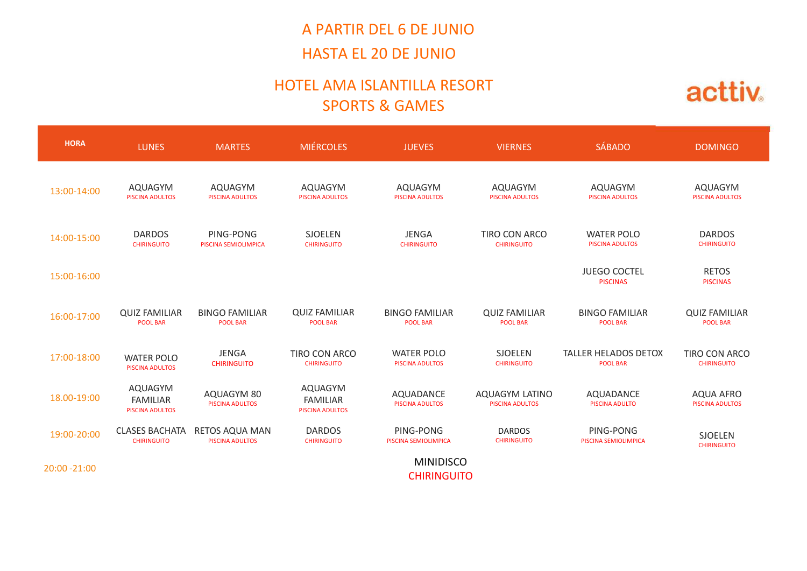## A PARTIR DEL 6 DE JUNIO HASTA EL 20 DE JUNIO

#### HOTEL AMA ISLANTILLA RESORT SPORTS & GAMES

|               |                                                          |                                                  |                                               | A PARTIR DEL 6 DE JUNIO<br><b>HASTA EL 20 DE JUNIO</b> |                                          |                                             |                                         |  |  |
|---------------|----------------------------------------------------------|--------------------------------------------------|-----------------------------------------------|--------------------------------------------------------|------------------------------------------|---------------------------------------------|-----------------------------------------|--|--|
|               | HOTEL AMA ISLANTILLA RESORT<br><b>SPORTS &amp; GAMES</b> |                                                  |                                               |                                                        |                                          |                                             |                                         |  |  |
| <b>HORA</b>   | <b>LUNES</b>                                             | <b>MARTES</b>                                    | <b>MIÉRCOLES</b>                              | <b>JUEVES</b>                                          | <b>VIERNES</b>                           | <b>SÁBADO</b>                               | <b>DOMINGO</b>                          |  |  |
| 13:00-14:00   | AQUAGYM<br><b>PISCINA ADULTOS</b>                        | AQUAGYM<br><b>PISCINA ADULTOS</b>                | AQUAGYM<br><b>PISCINA ADULTOS</b>             | AQUAGYM<br><b>PISCINA ADULTOS</b>                      | <b>AQUAGYM</b><br><b>PISCINA ADULTOS</b> | AQUAGYM<br>PISCINA ADULTOS                  | AQUAGYM<br><b>PISCINA ADULTOS</b>       |  |  |
| 14:00-15:00   | <b>DARDOS</b><br><b>CHIRINGUITO</b>                      | PING-PONG<br>PISCINA SEMIOLIMPICA                | SJOELEN<br><b>CHIRINGUITO</b>                 | JENGA<br><b>CHIRINGUITO</b>                            | TIRO CON ARCO<br><b>CHIRINGUITO</b>      | <b>WATER POLO</b><br><b>PISCINA ADULTOS</b> | <b>DARDOS</b><br><b>CHIRINGUITO</b>     |  |  |
| 15:00-16:00   |                                                          |                                                  |                                               |                                                        |                                          | <b>JUEGO COCTEL</b><br><b>PISCINAS</b>      | <b>RETOS</b><br><b>PISCINAS</b>         |  |  |
| 16:00-17:00   | <b>QUIZ FAMILIAR</b><br><b>POOL BAR</b>                  | <b>BINGO FAMILIAR</b><br><b>POOL BAR</b>         | <b>QUIZ FAMILIAR</b><br><b>POOL BAR</b>       | <b>BINGO FAMILIAR</b><br><b>POOL BAR</b>               | <b>QUIZ FAMILIAR</b><br><b>POOL BAR</b>  | <b>BINGO FAMILIAR</b><br><b>POOL BAR</b>    | <b>QUIZ FAMILIAR</b><br><b>POOL BAR</b> |  |  |
| 17:00-18:00   | <b>WATER POLO</b><br>PISCINA ADULTOS                     | JENGA<br><b>CHIRINGUITO</b>                      | TIRO CON ARCO<br><b>CHIRINGUITO</b>           | <b>WATER POLO</b><br>PISCINA ADULTOS                   | SJOELEN<br><b>CHIRINGUITO</b>            | TALLER HELADOS DETOX<br><b>POOL BAR</b>     | TIRO CON ARCO<br><b>CHIRINGUITO</b>     |  |  |
| 18.00-19:00   | AQUAGYM<br>FAMILIAR<br><b>PISCINA ADULTOS</b>            | AQUAGYM 80<br><b>PISCINA ADULTOS</b>             | AQUAGYM<br>FAMILIAR<br><b>PISCINA ADULTOS</b> | AQUADANCE<br><b>PISCINA ADULTOS</b>                    | AQUAGYM LATINO<br><b>PISCINA ADULTOS</b> | AQUADANCE<br><b>PISCINA ADULTO</b>          | AQUA AFRO<br><b>PISCINA ADULTOS</b>     |  |  |
| 19:00-20:00   | <b>CHIRINGUITO</b>                                       | CLASES BACHATA RETOS AQUA MAN<br>PISCINA ADULTOS | <b>DARDOS</b><br><b>CHIRINGUITO</b>           | PING-PONG<br>PISCINA SEMIOLIMPICA                      | <b>DARDOS</b><br><b>CHIRINGUITO</b>      | PING-PONG<br>PISCINA SEMIOLIMPICA           | SJOELEN<br><b>CHIRINGUITO</b>           |  |  |
| 20:00 - 21:00 |                                                          |                                                  |                                               | <b>MINIDISCO</b><br><b>CHIRINGUITO</b>                 |                                          |                                             |                                         |  |  |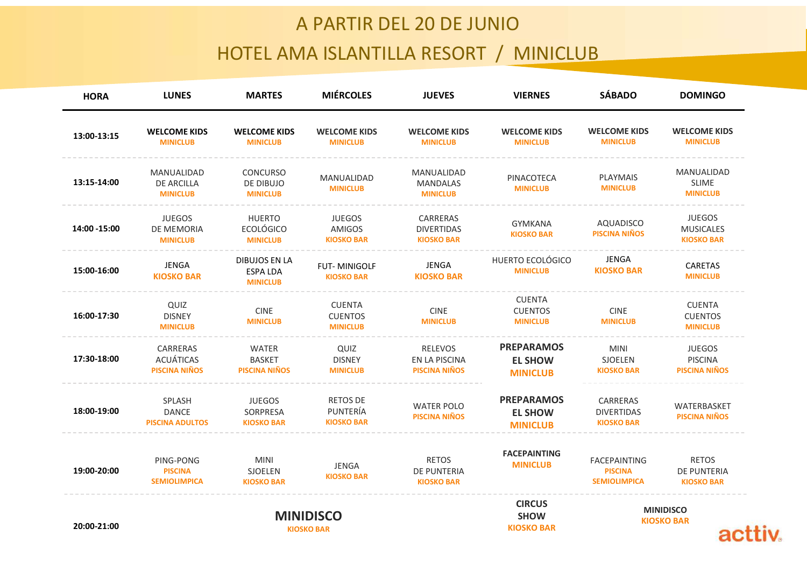### A PARTIR DEL 20 DE JUNIO

# HOTEL AMA ISLANTILLA RESORT / MINICLUB

| <b>WELCOME KIDS</b><br><b>WELCOME KIDS</b><br><b>WELCOME KIDS</b><br><b>WELCOME KIDS</b><br><b>WELCOME KIDS</b><br><b>WELCOME KIDS</b><br><b>WELCOME KIDS</b><br>13:00-13:15<br><b>MINICLUB</b><br><b>MINICLUB</b><br><b>MINICLUB</b><br><b>MINICLUB</b><br><b>MINICLUB</b><br><b>MINICLUB</b><br><b>MINICLUB</b><br>MANUALIDAD<br>MANUALIDAD<br><b>CONCURSO</b><br>MANUALIDAD<br>PINACOTECA<br>PLAYMAIS<br>MANUALIDAD<br>13:15-14:00<br>SLIME<br>DE ARCILLA<br>DE DIBUJO<br>MANDALAS<br><b>MINICLUB</b><br><b>MINICLUB</b><br><b>MINICLUB</b><br><b>MINICLUB</b><br><b>MINICLUB</b><br><b>MINICLUB</b><br><b>MINICLUB</b><br>JUEGOS<br>JUEGOS<br><b>HUERTO</b><br><b>JUEGOS</b><br>CARRERAS<br>AQUADISCO<br>GYMKANA<br>14:00 -15:00<br><b>ECOLÓGICO</b><br>DE MEMORIA<br>AMIGOS<br><b>MUSICALES</b><br><b>DIVERTIDAS</b><br><b>PISCINA NIÑOS</b><br><b>KIOSKO BAR</b><br><b>KIOSKO BAR</b><br><b>MINICLUB</b><br><b>MINICLUB</b><br><b>KIOSKO BAR</b><br><b>KIOSKO BAR</b><br>JENGA<br>HUERTO ECOLÓGICO<br>DIBUJOS EN LA<br>JENGA<br>JENGA<br>CARETAS<br>FUT-MINIGOLF<br><b>KIOSKO BAR</b><br>15:00-16:00<br><b>MINICLUB</b><br>ESPA LDA<br><b>KIOSKO BAR</b><br><b>MINICLUB</b><br><b>KIOSKO BAR</b><br><b>KIOSKO BAR</b><br><b>MINICLUB</b><br>CUENTA<br>QUIZ<br><b>CUENTA</b><br>CUENTA<br><b>CINE</b><br><b>CUENTOS</b><br><b>CINE</b><br><b>CINE</b><br>16:00-17:30<br><b>DISNEY</b><br><b>CUENTOS</b><br><b>CUENTOS</b><br><b>MINICLUB</b><br><b>MINICLUB</b><br><b>MINICLUB</b><br><b>MINICLUB</b><br><b>MINICLUB</b><br><b>MINICLUB</b><br><b>MINICLUB</b><br><b>PREPARAMOS</b><br>RELEVOS<br>CARRERAS<br>WATER<br>QUIZ<br><b>MINI</b><br><b>JUEGOS</b><br>17:30-18:00<br>ACUÁTICAS<br><b>BASKET</b><br>SJOELEN<br>PISCINA<br><b>DISNEY</b><br>EN LA PISCINA<br><b>EL SHOW</b><br><b>PISCINA NIÑOS</b><br><b>PISCINA NIÑOS</b><br><b>PISCINA NIÑOS</b><br><b>PISCINA NIÑOS</b><br><b>MINICLUB</b><br><b>KIOSKO BAR</b><br><b>MINICLUB</b><br><b>PREPARAMOS</b><br>RETOS DE<br>SPLASH<br><b>JUEGOS</b><br>CARRERAS<br><b>WATER POLO</b><br>WATERBASKET<br>18:00-19:00<br>PUNTERÍA<br>DANCE<br>SORPRESA<br><b>EL SHOW</b><br>DIVERTIDAS<br><b>PISCINA NIÑOS</b><br><b>PISCINA NIÑOS</b><br><b>KIOSKO BAR</b><br><b>KIOSKO BAR</b><br><b>PISCINA ADULTOS</b><br><b>KIOSKO BAR</b><br><b>MINICLUB</b><br><b>FACEPAINTING</b><br><b>RETOS</b><br>RETOS<br>MINI<br>PING-PONG<br>FACEPAINTING<br><b>MINICLUB</b><br>JENGA<br>19:00-20:00<br>SJOELEN<br>DE PUNTERIA<br>DE PUNTERIA<br><b>PISCINA</b><br><b>PISCINA</b><br><b>KIOSKO BAR</b><br><b>SEMIOLIMPICA</b><br><b>SEMIOLIMPICA</b><br><b>KIOSKO BAR</b><br><b>KIOSKO BAR</b><br><b>KIOSKO BAR</b> |
|-----------------------------------------------------------------------------------------------------------------------------------------------------------------------------------------------------------------------------------------------------------------------------------------------------------------------------------------------------------------------------------------------------------------------------------------------------------------------------------------------------------------------------------------------------------------------------------------------------------------------------------------------------------------------------------------------------------------------------------------------------------------------------------------------------------------------------------------------------------------------------------------------------------------------------------------------------------------------------------------------------------------------------------------------------------------------------------------------------------------------------------------------------------------------------------------------------------------------------------------------------------------------------------------------------------------------------------------------------------------------------------------------------------------------------------------------------------------------------------------------------------------------------------------------------------------------------------------------------------------------------------------------------------------------------------------------------------------------------------------------------------------------------------------------------------------------------------------------------------------------------------------------------------------------------------------------------------------------------------------------------------------------------------------------------------------------------------------------------------------------------------------------------------------------------------------------------------------------------------------------------------------------------------------------------------------------------------------------------------------------------------------------------------------------------------------------------------------------------------------------------------------------------------------------------------------------------------------------------------------------------------------------------------|
|                                                                                                                                                                                                                                                                                                                                                                                                                                                                                                                                                                                                                                                                                                                                                                                                                                                                                                                                                                                                                                                                                                                                                                                                                                                                                                                                                                                                                                                                                                                                                                                                                                                                                                                                                                                                                                                                                                                                                                                                                                                                                                                                                                                                                                                                                                                                                                                                                                                                                                                                                                                                                                                           |
|                                                                                                                                                                                                                                                                                                                                                                                                                                                                                                                                                                                                                                                                                                                                                                                                                                                                                                                                                                                                                                                                                                                                                                                                                                                                                                                                                                                                                                                                                                                                                                                                                                                                                                                                                                                                                                                                                                                                                                                                                                                                                                                                                                                                                                                                                                                                                                                                                                                                                                                                                                                                                                                           |
|                                                                                                                                                                                                                                                                                                                                                                                                                                                                                                                                                                                                                                                                                                                                                                                                                                                                                                                                                                                                                                                                                                                                                                                                                                                                                                                                                                                                                                                                                                                                                                                                                                                                                                                                                                                                                                                                                                                                                                                                                                                                                                                                                                                                                                                                                                                                                                                                                                                                                                                                                                                                                                                           |
|                                                                                                                                                                                                                                                                                                                                                                                                                                                                                                                                                                                                                                                                                                                                                                                                                                                                                                                                                                                                                                                                                                                                                                                                                                                                                                                                                                                                                                                                                                                                                                                                                                                                                                                                                                                                                                                                                                                                                                                                                                                                                                                                                                                                                                                                                                                                                                                                                                                                                                                                                                                                                                                           |
|                                                                                                                                                                                                                                                                                                                                                                                                                                                                                                                                                                                                                                                                                                                                                                                                                                                                                                                                                                                                                                                                                                                                                                                                                                                                                                                                                                                                                                                                                                                                                                                                                                                                                                                                                                                                                                                                                                                                                                                                                                                                                                                                                                                                                                                                                                                                                                                                                                                                                                                                                                                                                                                           |
|                                                                                                                                                                                                                                                                                                                                                                                                                                                                                                                                                                                                                                                                                                                                                                                                                                                                                                                                                                                                                                                                                                                                                                                                                                                                                                                                                                                                                                                                                                                                                                                                                                                                                                                                                                                                                                                                                                                                                                                                                                                                                                                                                                                                                                                                                                                                                                                                                                                                                                                                                                                                                                                           |
|                                                                                                                                                                                                                                                                                                                                                                                                                                                                                                                                                                                                                                                                                                                                                                                                                                                                                                                                                                                                                                                                                                                                                                                                                                                                                                                                                                                                                                                                                                                                                                                                                                                                                                                                                                                                                                                                                                                                                                                                                                                                                                                                                                                                                                                                                                                                                                                                                                                                                                                                                                                                                                                           |
|                                                                                                                                                                                                                                                                                                                                                                                                                                                                                                                                                                                                                                                                                                                                                                                                                                                                                                                                                                                                                                                                                                                                                                                                                                                                                                                                                                                                                                                                                                                                                                                                                                                                                                                                                                                                                                                                                                                                                                                                                                                                                                                                                                                                                                                                                                                                                                                                                                                                                                                                                                                                                                                           |
| <b>SÁBADO</b><br><b>MIÉRCOLES</b><br><b>LUNES</b><br><b>MARTES</b><br><b>JUEVES</b><br><b>VIERNES</b><br><b>DOMINGO</b><br><b>HORA</b>                                                                                                                                                                                                                                                                                                                                                                                                                                                                                                                                                                                                                                                                                                                                                                                                                                                                                                                                                                                                                                                                                                                                                                                                                                                                                                                                                                                                                                                                                                                                                                                                                                                                                                                                                                                                                                                                                                                                                                                                                                                                                                                                                                                                                                                                                                                                                                                                                                                                                                                    |
| HOTEL AMA ISLANTILLA RESORT / MINICLUB                                                                                                                                                                                                                                                                                                                                                                                                                                                                                                                                                                                                                                                                                                                                                                                                                                                                                                                                                                                                                                                                                                                                                                                                                                                                                                                                                                                                                                                                                                                                                                                                                                                                                                                                                                                                                                                                                                                                                                                                                                                                                                                                                                                                                                                                                                                                                                                                                                                                                                                                                                                                                    |
| A PARTIR DEL 20 DE JUNIO                                                                                                                                                                                                                                                                                                                                                                                                                                                                                                                                                                                                                                                                                                                                                                                                                                                                                                                                                                                                                                                                                                                                                                                                                                                                                                                                                                                                                                                                                                                                                                                                                                                                                                                                                                                                                                                                                                                                                                                                                                                                                                                                                                                                                                                                                                                                                                                                                                                                                                                                                                                                                                  |